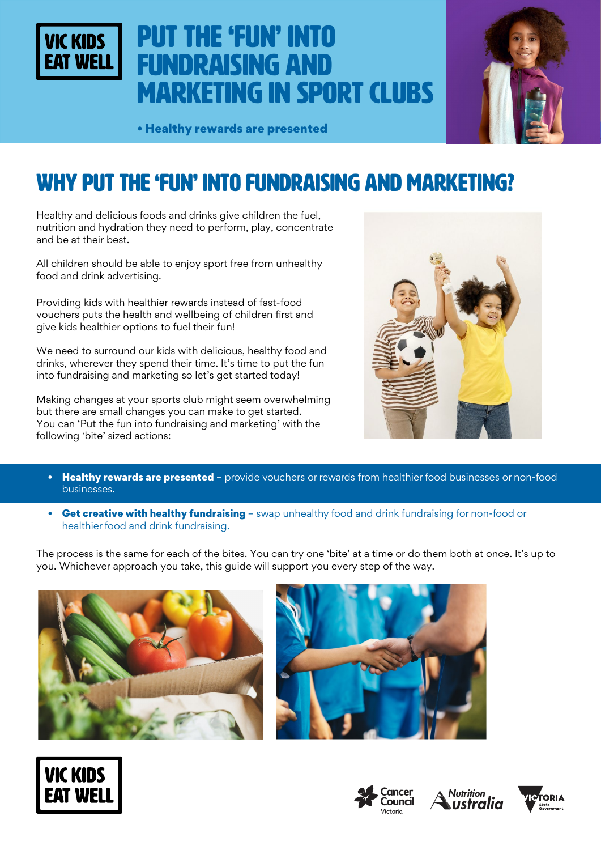

# Put the 'fun' into fundraising and marketing in sport clubs



• Healthy rewards are presented

## WHY put the 'fun' into fundraising and marketing?

Healthy and delicious foods and drinks give children the fuel, nutrition and hydration they need to perform, play, concentrate and be at their best.

All children should be able to enjoy sport free from unhealthy food and drink advertising.

Providing kids with healthier rewards instead of fast-food vouchers puts the health and wellbeing of children first and give kids healthier options to fuel their fun!

We need to surround our kids with delicious, healthy food and drinks, wherever they spend their time. It's time to put the fun into fundraising and marketing so let's get started today!

Making changes at your sports club might seem overwhelming but there are small changes you can make to get started. You can 'Put the fun into fundraising and marketing' with the following 'bite' sized actions:



- Healthy rewards are presented provide vouchers or rewards from healthier food businesses or non-food businesses.
- Get creative with healthy fundraising swap unhealthy food and drink fundraising for non-food or healthier food and drink fundraising.

The process is the same for each of the bites. You can try one 'bite' at a time or do them both at once. It's up to you. Whichever approach you take, this guide will support you every step of the way.











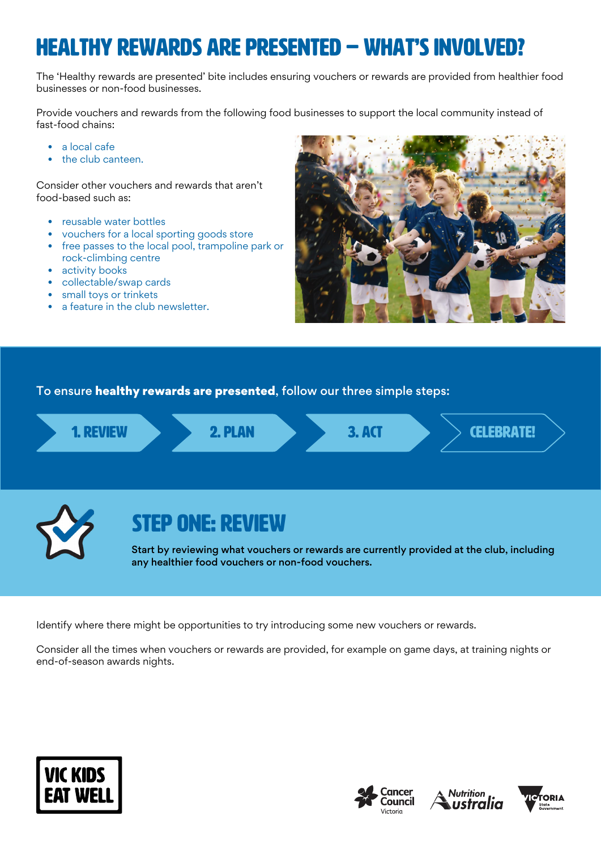## HEALTHY REWARDS ARE PRESENTED – WHAT'S INVOLVED?

The 'Healthy rewards are presented' bite includes ensuring vouchers or rewards are provided from healthier food businesses or non-food businesses.

Provide vouchers and rewards from the following food businesses to support the local community instead of fast-food chains:

- a local cafe
- the club canteen.

Consider other vouchers and rewards that aren't food-based such as:

- reusable water bottles
- vouchers for a local sporting goods store
- free passes to the local pool, trampoline park or rock-climbing centre
- activity books
- collectable/swap cards
- small toys or trinkets
- a feature in the club newsletter.



To ensure healthy rewards are presented, follow our three simple steps:



Identify where there might be opportunities to try introducing some new vouchers or rewards.

Consider all the times when vouchers or rewards are provided, for example on game days, at training nights or end-of-season awards nights.







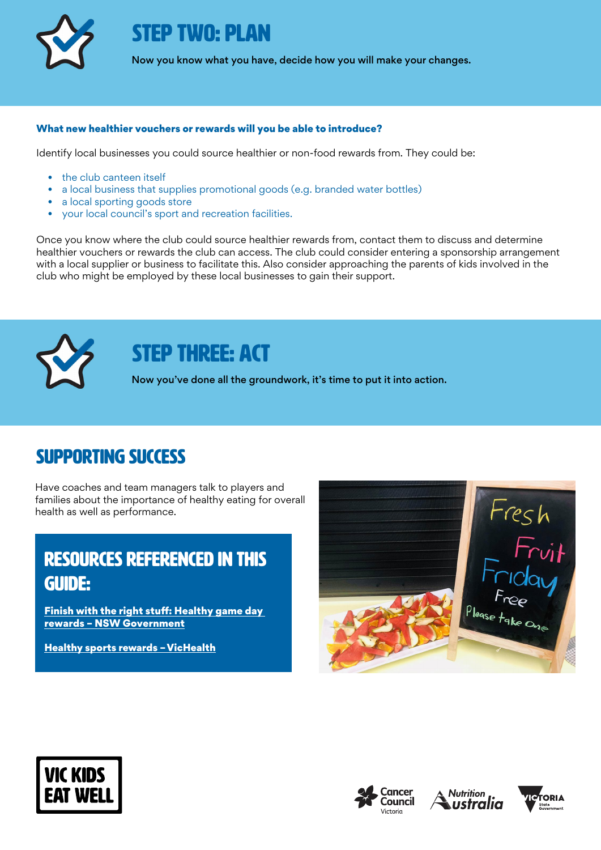

STEP TWO: PLAN

Now you know what you have, decide how you will make your changes.

#### What new healthier vouchers or rewards will you be able to introduce?

Identify local businesses you could source healthier or non-food rewards from. They could be:

- the club canteen itself
- a local business that supplies promotional goods (e.g. branded water bottles)
- a local sporting goods store
- your local council's sport and recreation facilities.

Once you know where the club could source healthier rewards from, contact them to discuss and determine healthier vouchers or rewards the club can access. The club could consider entering a sponsorship arrangement with a local supplier or business to facilitate this. Also consider approaching the parents of kids involved in the club who might be employed by these local businesses to gain their support.



## STEP THREE: ACT

Now you've done all the groundwork, it's time to put it into action.

### Supporting success

Have coaches and team managers talk to players and families about the importance of healthy eating for overall health as well as performance.

### rEsources referenced in this guide:

[Finish with the right stuff: Healthy game day](https://rightstuff.health.nsw.gov.au/wp-content/uploads/2020/06/healthy-game-day-rewards.pdf)  [rewards – NSW Government](https://rightstuff.health.nsw.gov.au/wp-content/uploads/2020/06/healthy-game-day-rewards.pdf)

[Healthy sports rewards – VicHealth](https://www.vichealth.vic.gov.au/media-and-resources/media-releases/vichealth-calls-time-on-junk-food-vouchers-in-kids-sport)